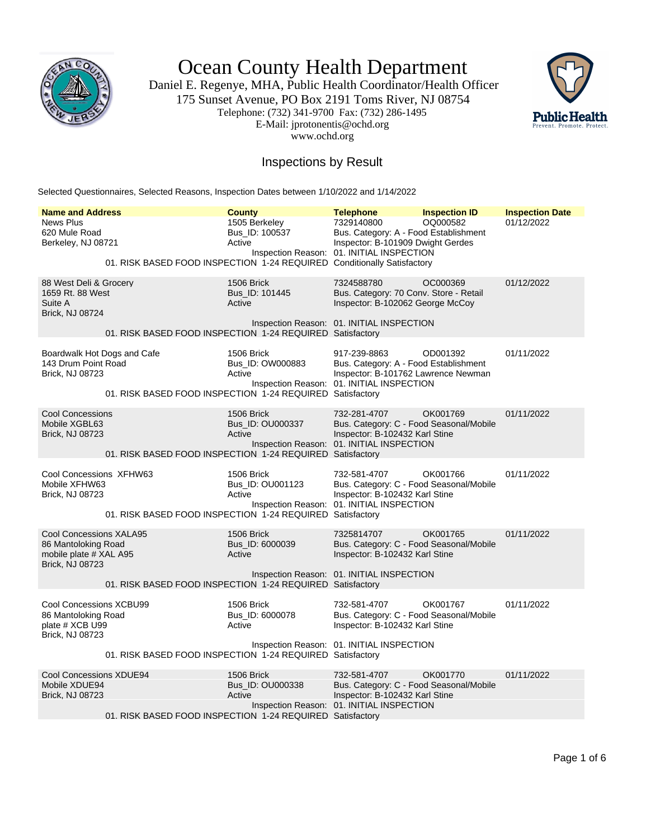

Ocean County Health Department

Daniel E. Regenye, MHA, Public Health Coordinator/Health Officer 175 Sunset Avenue, PO Box 2191 Toms River, NJ 08754 Telephone: (732) 341-9700 Fax: (732) 286-1495 E-Mail: jprotonentis@ochd.org www.ochd.org



## Inspections by Result

Selected Questionnaires, Selected Reasons, Inspection Dates between 1/10/2022 and 1/14/2022

| <b>Name and Address</b>                                                                     | <b>County</b>                                                                                                        | <b>Telephone</b>                                                                                                                          | <b>Inspection ID</b> | <b>Inspection Date</b> |
|---------------------------------------------------------------------------------------------|----------------------------------------------------------------------------------------------------------------------|-------------------------------------------------------------------------------------------------------------------------------------------|----------------------|------------------------|
| <b>News Plus</b><br>620 Mule Road<br>Berkeley, NJ 08721                                     | 1505 Berkeley<br>Bus ID: 100537<br>Active<br>01. RISK BASED FOOD INSPECTION 1-24 REQUIRED Conditionally Satisfactory | 7329140800<br>Bus. Category: A - Food Establishment<br>Inspector: B-101909 Dwight Gerdes<br>Inspection Reason: 01. INITIAL INSPECTION     | OQ000582             | 01/12/2022             |
| 88 West Deli & Grocery<br>1659 Rt. 88 West<br>Suite A<br>Brick, NJ 08724                    | 1506 Brick<br>Bus ID: 101445<br>Active                                                                               | 7324588780<br>Bus. Category: 70 Conv. Store - Retail<br>Inspector: B-102062 George McCoy<br>Inspection Reason: 01. INITIAL INSPECTION     | OC000369             | 01/12/2022             |
|                                                                                             | 01. RISK BASED FOOD INSPECTION 1-24 REQUIRED Satisfactory                                                            |                                                                                                                                           |                      |                        |
| Boardwalk Hot Dogs and Cafe<br>143 Drum Point Road<br>Brick, NJ 08723                       | 1506 Brick<br>Bus_ID: OW000883<br>Active<br>01. RISK BASED FOOD INSPECTION 1-24 REQUIRED Satisfactory                | 917-239-8863<br>Bus. Category: A - Food Establishment<br>Inspector: B-101762 Lawrence Newman<br>Inspection Reason: 01. INITIAL INSPECTION | OD001392             | 01/11/2022             |
| <b>Cool Concessions</b><br>Mobile XGBL63<br>Brick, NJ 08723                                 | 1506 Brick<br>Bus_ID: OU000337<br>Active<br>01. RISK BASED FOOD INSPECTION 1-24 REQUIRED Satisfactory                | 732-281-4707<br>Bus. Category: C - Food Seasonal/Mobile<br>Inspector: B-102432 Karl Stine<br>Inspection Reason: 01. INITIAL INSPECTION    | OK001769             | 01/11/2022             |
| Cool Concessions XFHW63<br>Mobile XFHW63<br>Brick, NJ 08723                                 | 1506 Brick<br>Bus ID: OU001123<br>Active<br>01. RISK BASED FOOD INSPECTION 1-24 REQUIRED Satisfactory                | 732-581-4707<br>Bus. Category: C - Food Seasonal/Mobile<br>Inspector: B-102432 Karl Stine<br>Inspection Reason: 01. INITIAL INSPECTION    | OK001766             | 01/11/2022             |
| Cool Concessions XALA95<br>86 Mantoloking Road<br>mobile plate # XAL A95<br>Brick, NJ 08723 | 1506 Brick<br>Bus_ID: 6000039<br>Active<br>01. RISK BASED FOOD INSPECTION 1-24 REQUIRED Satisfactory                 | 7325814707<br>Bus. Category: C - Food Seasonal/Mobile<br>Inspector: B-102432 Karl Stine<br>Inspection Reason: 01. INITIAL INSPECTION      | OK001765             | 01/11/2022             |
| <b>Cool Concessions XCBU99</b><br>86 Mantoloking Road<br>plate # XCB U99<br>Brick, NJ 08723 | 1506 Brick<br>Bus_ID: 6000078<br>Active                                                                              | 732-581-4707<br>Bus. Category: C - Food Seasonal/Mobile<br>Inspector: B-102432 Karl Stine<br>Inspection Reason: 01. INITIAL INSPECTION    | OK001767             | 01/11/2022             |
|                                                                                             | 01. RISK BASED FOOD INSPECTION 1-24 REQUIRED Satisfactory                                                            |                                                                                                                                           |                      |                        |
| Cool Concessions XDUE94<br>Mobile XDUE94<br>Brick, NJ 08723                                 | 1506 Brick<br>Bus_ID: OU000338<br>Active<br>01. RISK BASED FOOD INSPECTION 1-24 REQUIRED Satisfactory                | 732-581-4707<br>Bus. Category: C - Food Seasonal/Mobile<br>Inspector: B-102432 Karl Stine<br>Inspection Reason: 01. INITIAL INSPECTION    | OK001770             | 01/11/2022             |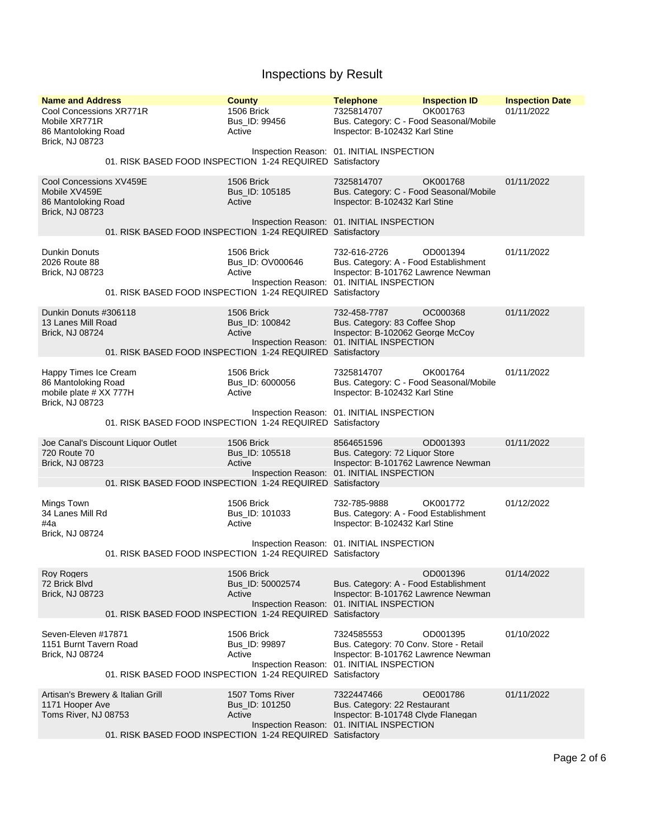| <b>Name and Address</b><br>Cool Concessions XR771R                                        |                                                                                                 | <b>County</b><br>1506 Brick                    | <b>Telephone</b><br>7325814707                                                                                                            | <b>Inspection ID</b><br>OK001763 | <b>Inspection Date</b><br>01/11/2022 |
|-------------------------------------------------------------------------------------------|-------------------------------------------------------------------------------------------------|------------------------------------------------|-------------------------------------------------------------------------------------------------------------------------------------------|----------------------------------|--------------------------------------|
| Mobile XR771R<br>86 Mantoloking Road<br>Brick, NJ 08723                                   |                                                                                                 | Bus ID: 99456<br>Active                        | Bus. Category: C - Food Seasonal/Mobile<br>Inspector: B-102432 Karl Stine                                                                 |                                  |                                      |
|                                                                                           | 01. RISK BASED FOOD INSPECTION 1-24 REQUIRED Satisfactory                                       |                                                | Inspection Reason: 01. INITIAL INSPECTION                                                                                                 |                                  |                                      |
| Cool Concessions XV459E<br>Mobile XV459E<br>86 Mantoloking Road<br><b>Brick, NJ 08723</b> |                                                                                                 | 1506 Brick<br>Bus_ID: 105185<br>Active         | 7325814707<br>Bus. Category: C - Food Seasonal/Mobile<br>Inspector: B-102432 Karl Stine                                                   | OK001768                         | 01/11/2022                           |
|                                                                                           | 01. RISK BASED FOOD INSPECTION 1-24 REQUIRED Satisfactory                                       |                                                | Inspection Reason: 01. INITIAL INSPECTION                                                                                                 |                                  |                                      |
| Dunkin Donuts<br>2026 Route 88<br>Brick, NJ 08723                                         | 01. RISK BASED FOOD INSPECTION 1-24 REQUIRED Satisfactory                                       | 1506 Brick<br>Bus_ID: OV000646<br>Active       | 732-616-2726<br>Bus. Category: A - Food Establishment<br>Inspector: B-101762 Lawrence Newman<br>Inspection Reason: 01. INITIAL INSPECTION | OD001394                         | 01/11/2022                           |
| Dunkin Donuts #306118<br>13 Lanes Mill Road<br>Brick, NJ 08724                            | 01. RISK BASED FOOD INSPECTION 1-24 REQUIRED Satisfactory                                       | 1506 Brick<br>Bus_ID: 100842<br>Active         | 732-458-7787<br>Bus. Category: 83 Coffee Shop<br>Inspector: B-102062 George McCoy<br>Inspection Reason: 01. INITIAL INSPECTION            | OC000368                         | 01/11/2022                           |
| Happy Times Ice Cream<br>86 Mantoloking Road<br>mobile plate # XX 777H<br>Brick, NJ 08723 |                                                                                                 | <b>1506 Brick</b><br>Bus_ID: 6000056<br>Active | 7325814707<br>Bus. Category: C - Food Seasonal/Mobile<br>Inspector: B-102432 Karl Stine                                                   | OK001764                         | 01/11/2022                           |
|                                                                                           | 01. RISK BASED FOOD INSPECTION 1-24 REQUIRED Satisfactory                                       |                                                | Inspection Reason: 01. INITIAL INSPECTION                                                                                                 |                                  |                                      |
| 720 Route 70<br><b>Brick, NJ 08723</b>                                                    | Joe Canal's Discount Liquor Outlet<br>01. RISK BASED FOOD INSPECTION 1-24 REQUIRED Satisfactory | 1506 Brick<br>Bus_ID: 105518<br>Active         | 8564651596<br>Bus. Category: 72 Liquor Store<br>Inspector: B-101762 Lawrence Newman<br>Inspection Reason: 01. INITIAL INSPECTION          | OD001393                         | 01/11/2022                           |
| Mings Town<br>34 Lanes Mill Rd<br>#4a<br>Brick, NJ 08724                                  |                                                                                                 | 1506 Brick<br>Bus_ID: 101033<br>Active         | 732-785-9888<br>Bus. Category: A - Food Establishment<br>Inspector: B-102432 Karl Stine                                                   | OK001772                         | 01/12/2022                           |
|                                                                                           | 01. RISK BASED FOOD INSPECTION 1-24 REQUIRED Satisfactory                                       |                                                | Inspection Reason: 01. INITIAL INSPECTION                                                                                                 |                                  |                                      |
| <b>Roy Rogers</b><br>72 Brick Blvd<br><b>Brick, NJ 08723</b>                              | 01. RISK BASED FOOD INSPECTION 1-24 REQUIRED Satisfactory                                       | 1506 Brick<br>Bus_ID: 50002574<br>Active       | Bus. Category: A - Food Establishment<br>Inspector: B-101762 Lawrence Newman<br>Inspection Reason: 01. INITIAL INSPECTION                 | OD001396                         | 01/14/2022                           |
| Seven-Eleven #17871<br>1151 Burnt Tavern Road<br>Brick, NJ 08724                          | 01. RISK BASED FOOD INSPECTION 1-24 REQUIRED Satisfactory                                       | 1506 Brick<br>Bus_ID: 99897<br>Active          | 7324585553<br>Bus. Category: 70 Conv. Store - Retail<br>Inspector: B-101762 Lawrence Newman<br>Inspection Reason: 01. INITIAL INSPECTION  | OD001395                         | 01/10/2022                           |
| 1171 Hooper Ave<br>Toms River, NJ 08753                                                   | Artisan's Brewery & Italian Grill<br>01. RISK BASED FOOD INSPECTION 1-24 REQUIRED Satisfactory  | 1507 Toms River<br>Bus_ID: 101250<br>Active    | 7322447466<br>Bus. Category: 22 Restaurant<br>Inspector: B-101748 Clyde Flanegan<br>Inspection Reason: 01. INITIAL INSPECTION             | OE001786                         | 01/11/2022                           |
|                                                                                           |                                                                                                 |                                                |                                                                                                                                           |                                  |                                      |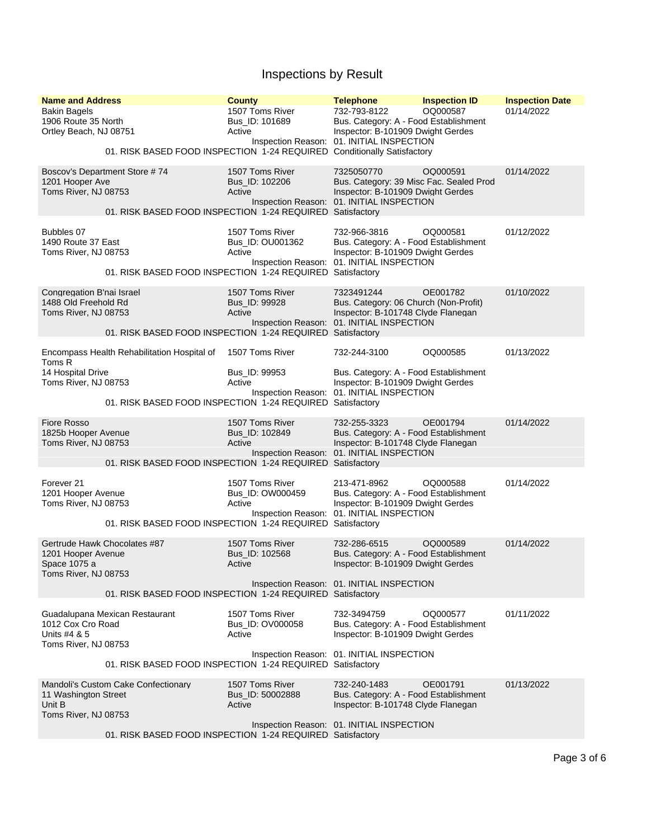| <b>Name and Address</b><br><b>Bakin Bagels</b><br>1906 Route 35 North<br>Ortley Beach, NJ 08751 | 01. RISK BASED FOOD INSPECTION 1-24 REQUIRED Conditionally Satisfactory                                  | <b>County</b><br>1507 Toms River<br>Bus ID: 101689<br>Active | <b>Telephone</b><br>732-793-8122<br>Bus. Category: A - Food Establishment<br>Inspector: B-101909 Dwight Gerdes<br>Inspection Reason: 01. INITIAL INSPECTION | <b>Inspection ID</b><br>OQ000587 | <b>Inspection Date</b><br>01/14/2022 |
|-------------------------------------------------------------------------------------------------|----------------------------------------------------------------------------------------------------------|--------------------------------------------------------------|-------------------------------------------------------------------------------------------------------------------------------------------------------------|----------------------------------|--------------------------------------|
| 1201 Hooper Ave<br>Toms River, NJ 08753                                                         | Boscov's Department Store #74<br>01. RISK BASED FOOD INSPECTION 1-24 REQUIRED Satisfactory               | 1507 Toms River<br>Bus_ID: 102206<br>Active                  | 7325050770<br>Bus. Category: 39 Misc Fac. Sealed Prod<br>Inspector: B-101909 Dwight Gerdes<br>Inspection Reason: 01. INITIAL INSPECTION                     | OQ000591                         | 01/14/2022                           |
| Bubbles 07<br>1490 Route 37 East<br>Toms River, NJ 08753                                        | 01. RISK BASED FOOD INSPECTION 1-24 REQUIRED                                                             | 1507 Toms River<br>Bus_ID: OU001362<br>Active                | 732-966-3816<br>Bus. Category: A - Food Establishment<br>Inspector: B-101909 Dwight Gerdes<br>Inspection Reason: 01. INITIAL INSPECTION<br>Satisfactory     | OQ000581                         | 01/12/2022                           |
| Congregation B'nai Israel<br>1488 Old Freehold Rd<br>Toms River, NJ 08753                       | 01. RISK BASED FOOD INSPECTION 1-24 REQUIRED Satisfactory                                                | 1507 Toms River<br>Bus_ID: 99928<br>Active                   | 7323491244<br>Bus. Category: 06 Church (Non-Profit)<br>Inspector: B-101748 Clyde Flanegan<br>Inspection Reason: 01. INITIAL INSPECTION                      | OE001782                         | 01/10/2022                           |
| Toms R<br>14 Hospital Drive<br>Toms River, NJ 08753                                             | Encompass Health Rehabilitation Hospital of<br>01. RISK BASED FOOD INSPECTION 1-24 REQUIRED Satisfactory | 1507 Toms River<br>Bus_ID: 99953<br>Active                   | 732-244-3100<br>Bus. Category: A - Food Establishment<br>Inspector: B-101909 Dwight Gerdes<br>Inspection Reason: 01. INITIAL INSPECTION                     | OQ000585                         | 01/13/2022                           |
| <b>Fiore Rosso</b><br>1825b Hooper Avenue<br>Toms River, NJ 08753                               | 01. RISK BASED FOOD INSPECTION 1-24 REQUIRED Satisfactory                                                | 1507 Toms River<br>Bus_ID: 102849<br>Active                  | 732-255-3323<br>Bus. Category: A - Food Establishment<br>Inspector: B-101748 Clyde Flanegan<br>Inspection Reason: 01. INITIAL INSPECTION                    | OE001794                         | 01/14/2022                           |
| Forever <sub>21</sub><br>1201 Hooper Avenue<br>Toms River, NJ 08753                             | 01. RISK BASED FOOD INSPECTION 1-24 REQUIRED Satisfactory                                                | 1507 Toms River<br>Bus_ID: OW000459<br>Active                | 213-471-8962<br>Bus. Category: A - Food Establishment<br>Inspector: B-101909 Dwight Gerdes<br>Inspection Reason: 01. INITIAL INSPECTION                     | OQ000588                         | 01/14/2022                           |
| 1201 Hooper Avenue<br>Space 1075 a<br>Toms River, NJ 08753                                      | Gertrude Hawk Chocolates #87<br>01. RISK BASED FOOD INSPECTION 1-24 REQUIRED Satisfactory                | 1507 Toms River<br>Bus ID: 102568<br>Active                  | 732-286-6515<br>Bus. Category: A - Food Establishment<br>Inspector: B-101909 Dwight Gerdes<br>Inspection Reason: 01. INITIAL INSPECTION                     | OQ000589                         | 01/14/2022                           |
| 1012 Cox Cro Road<br>Units #4 & 5<br>Toms River, NJ 08753                                       | Guadalupana Mexican Restaurant                                                                           | 1507 Toms River<br>Bus_ID: OV000058<br>Active                | 732-3494759<br>Bus. Category: A - Food Establishment<br>Inspector: B-101909 Dwight Gerdes<br>Inspection Reason: 01. INITIAL INSPECTION                      | OQ000577                         | 01/11/2022                           |
|                                                                                                 | 01. RISK BASED FOOD INSPECTION 1-24 REQUIRED Satisfactory                                                |                                                              |                                                                                                                                                             |                                  |                                      |
| 11 Washington Street<br>Unit B<br>Toms River, NJ 08753                                          | Mandoli's Custom Cake Confectionary                                                                      | 1507 Toms River<br>Bus_ID: 50002888<br>Active                | 732-240-1483<br>Bus. Category: A - Food Establishment<br>Inspector: B-101748 Clyde Flanegan                                                                 | OE001791                         | 01/13/2022                           |
|                                                                                                 | 01. RISK BASED FOOD INSPECTION 1-24 REQUIRED Satisfactory                                                |                                                              | Inspection Reason: 01. INITIAL INSPECTION                                                                                                                   |                                  |                                      |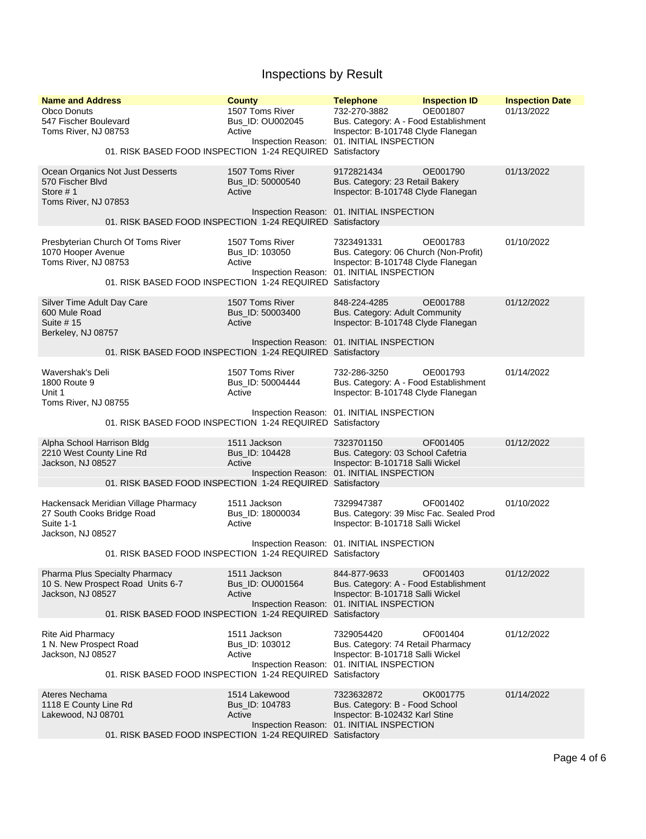| <b>Name and Address</b><br><b>Obco Donuts</b><br>547 Fischer Boulevard<br>Toms River, NJ 08753<br>01. RISK BASED FOOD INSPECTION 1-24 REQUIRED Satisfactory       | <b>County</b><br>1507 Toms River<br>Bus ID: OU002045<br>Active | <b>Telephone</b><br>732-270-3882<br>Bus. Category: A - Food Establishment<br>Inspector: B-101748 Clyde Flanegan<br>Inspection Reason: 01. INITIAL INSPECTION | <b>Inspection ID</b><br>OE001807 | <b>Inspection Date</b><br>01/13/2022 |
|-------------------------------------------------------------------------------------------------------------------------------------------------------------------|----------------------------------------------------------------|--------------------------------------------------------------------------------------------------------------------------------------------------------------|----------------------------------|--------------------------------------|
| Ocean Organics Not Just Desserts<br>570 Fischer Blvd<br>Store $# 1$<br>Toms River, NJ 07853                                                                       | 1507 Toms River<br>Bus_ID: 50000540<br>Active                  | 9172821434<br>Bus. Category: 23 Retail Bakery<br>Inspector: B-101748 Clyde Flanegan                                                                          | OE001790                         | 01/13/2022                           |
| 01. RISK BASED FOOD INSPECTION 1-24 REQUIRED Satisfactory                                                                                                         |                                                                | Inspection Reason: 01. INITIAL INSPECTION                                                                                                                    |                                  |                                      |
| Presbyterian Church Of Toms River<br>1070 Hooper Avenue<br>Toms River, NJ 08753<br>01. RISK BASED FOOD INSPECTION 1-24 REQUIRED Satisfactory                      | 1507 Toms River<br>Bus_ID: 103050<br>Active                    | 7323491331<br>Bus. Category: 06 Church (Non-Profit)<br>Inspector: B-101748 Clyde Flanegan<br>Inspection Reason: 01. INITIAL INSPECTION                       | OE001783                         | 01/10/2022                           |
| Silver Time Adult Day Care<br>600 Mule Road<br>Suite # 15<br>Berkeley, NJ 08757                                                                                   | 1507 Toms River<br>Bus ID: 50003400<br>Active                  | 848-224-4285<br>Bus. Category: Adult Community<br>Inspector: B-101748 Clyde Flanegan                                                                         | OE001788                         | 01/12/2022                           |
| 01. RISK BASED FOOD INSPECTION 1-24 REQUIRED Satisfactory                                                                                                         |                                                                | Inspection Reason: 01. INITIAL INSPECTION                                                                                                                    |                                  |                                      |
| Wavershak's Deli<br>1800 Route 9<br>Unit 1<br>Toms River, NJ 08755                                                                                                | 1507 Toms River<br>Bus_ID: 50004444<br>Active                  | 732-286-3250<br>Bus. Category: A - Food Establishment<br>Inspector: B-101748 Clyde Flanegan                                                                  | OE001793                         | 01/14/2022                           |
| 01. RISK BASED FOOD INSPECTION 1-24 REQUIRED Satisfactory                                                                                                         |                                                                | Inspection Reason: 01. INITIAL INSPECTION                                                                                                                    |                                  |                                      |
| Alpha School Harrison Bldg<br>2210 West County Line Rd<br>Jackson, NJ 08527<br>01. RISK BASED FOOD INSPECTION 1-24 REQUIRED Satisfactory                          | 1511 Jackson<br>Bus_ID: 104428<br>Active                       | 7323701150<br>Bus. Category: 03 School Cafetria<br>Inspector: B-101718 Salli Wickel<br>Inspection Reason: 01. INITIAL INSPECTION                             | OF001405                         | 01/12/2022                           |
| Hackensack Meridian Village Pharmacy<br>27 South Cooks Bridge Road<br>Suite 1-1<br>Jackson, NJ 08527<br>01. RISK BASED FOOD INSPECTION 1-24 REQUIRED Satisfactory | 1511 Jackson<br>Bus ID: 18000034<br>Active                     | 7329947387<br>Bus. Category: 39 Misc Fac. Sealed Prod<br>Inspector: B-101718 Salli Wickel<br>Inspection Reason: 01. INITIAL INSPECTION                       | OF001402                         | 01/10/2022                           |
| <b>Pharma Plus Specialty Pharmacy</b><br>10 S. New Prospect Road Units 6-7<br>Jackson, NJ 08527<br>01. RISK BASED FOOD INSPECTION 1-24 REQUIRED Satisfactory      | 1511 Jackson<br>Bus_ID: OU001564<br>Active                     | 844-877-9633<br>Bus. Category: A - Food Establishment<br>Inspector: B-101718 Salli Wickel<br>Inspection Reason: 01. INITIAL INSPECTION                       | OF001403                         | 01/12/2022                           |
| Rite Aid Pharmacy<br>1 N. New Prospect Road<br>Jackson, NJ 08527<br>01. RISK BASED FOOD INSPECTION 1-24 REQUIRED Satisfactory                                     | 1511 Jackson<br>Bus_ID: 103012<br>Active                       | 7329054420<br>Bus. Category: 74 Retail Pharmacy<br>Inspector: B-101718 Salli Wickel<br>Inspection Reason: 01. INITIAL INSPECTION                             | OF001404                         | 01/12/2022                           |
| Ateres Nechama<br>1118 E County Line Rd<br>Lakewood, NJ 08701<br>01. RISK BASED FOOD INSPECTION 1-24 REQUIRED Satisfactory                                        | 1514 Lakewood<br>Bus_ID: 104783<br>Active                      | 7323632872<br>Bus. Category: B - Food School<br>Inspector: B-102432 Karl Stine<br>Inspection Reason: 01. INITIAL INSPECTION                                  | OK001775                         | 01/14/2022                           |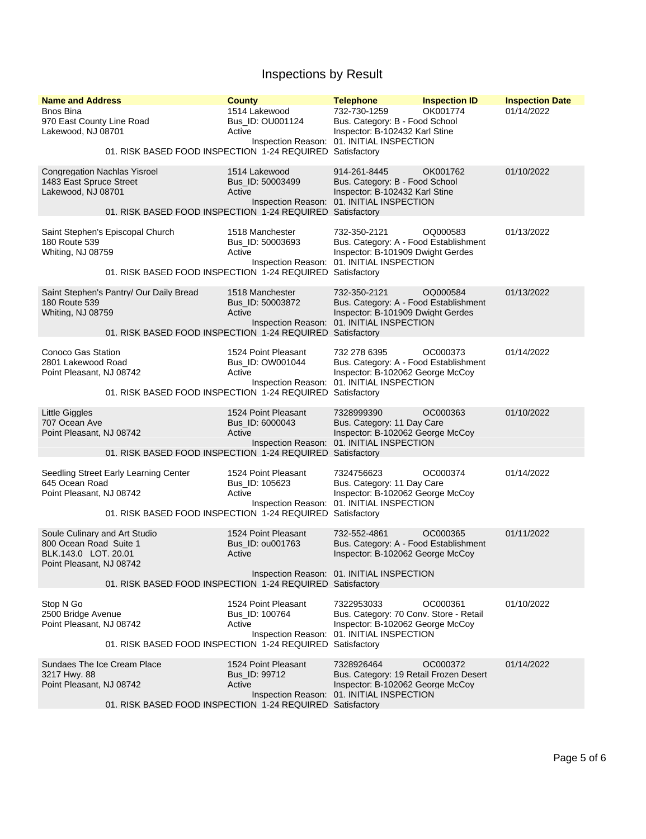| <b>Name and Address</b><br><b>Bnos Bina</b><br>970 East County Line Road<br>Lakewood, NJ 08701              | <b>County</b><br>1514 Lakewood<br>Bus ID: OU001124<br>Active                                                   | <b>Telephone</b><br>732-730-1259<br>Bus. Category: B - Food School<br>Inspector: B-102432 Karl Stine                                                    | <b>Inspection ID</b><br>OK001774 | <b>Inspection Date</b><br>01/14/2022 |
|-------------------------------------------------------------------------------------------------------------|----------------------------------------------------------------------------------------------------------------|---------------------------------------------------------------------------------------------------------------------------------------------------------|----------------------------------|--------------------------------------|
|                                                                                                             | 01. RISK BASED FOOD INSPECTION 1-24 REQUIRED Satisfactory                                                      | Inspection Reason: 01. INITIAL INSPECTION                                                                                                               |                                  |                                      |
| <b>Congregation Nachlas Yisroel</b><br>1483 East Spruce Street<br>Lakewood, NJ 08701                        | 1514 Lakewood<br>Bus_ID: 50003499<br>Active                                                                    | 914-261-8445<br>Bus. Category: B - Food School<br>Inspector: B-102432 Karl Stine<br>Inspection Reason: 01. INITIAL INSPECTION                           | OK001762                         | 01/10/2022                           |
|                                                                                                             | 01. RISK BASED FOOD INSPECTION 1-24 REQUIRED Satisfactory                                                      |                                                                                                                                                         |                                  |                                      |
| Saint Stephen's Episcopal Church<br>180 Route 539<br>Whiting, NJ 08759                                      | 1518 Manchester<br>Bus ID: 50003693<br>Active<br>01. RISK BASED FOOD INSPECTION 1-24 REQUIRED                  | 732-350-2121<br>Bus. Category: A - Food Establishment<br>Inspector: B-101909 Dwight Gerdes<br>Inspection Reason: 01. INITIAL INSPECTION<br>Satisfactory | OQ000583                         | 01/13/2022                           |
| Saint Stephen's Pantry/ Our Daily Bread<br>180 Route 539<br>Whiting, NJ 08759                               | 1518 Manchester<br>Bus_ID: 50003872<br>Active<br>01. RISK BASED FOOD INSPECTION 1-24 REQUIRED Satisfactory     | 732-350-2121<br>Bus. Category: A - Food Establishment<br>Inspector: B-101909 Dwight Gerdes<br>Inspection Reason: 01. INITIAL INSPECTION                 | OQ000584                         | 01/13/2022                           |
| Conoco Gas Station<br>2801 Lakewood Road<br>Point Pleasant, NJ 08742                                        | 1524 Point Pleasant<br>Bus ID: OW001044<br>Active<br>01. RISK BASED FOOD INSPECTION 1-24 REQUIRED Satisfactory | 732 278 6395<br>Bus. Category: A - Food Establishment<br>Inspector: B-102062 George McCoy<br>Inspection Reason: 01. INITIAL INSPECTION                  | OC000373                         | 01/14/2022                           |
|                                                                                                             |                                                                                                                |                                                                                                                                                         |                                  |                                      |
| <b>Little Giggles</b><br>707 Ocean Ave<br>Point Pleasant, NJ 08742                                          | 1524 Point Pleasant<br>Bus_ID: 6000043<br>Active<br>01. RISK BASED FOOD INSPECTION 1-24 REQUIRED Satisfactory  | 7328999390<br>Bus. Category: 11 Day Care<br>Inspector: B-102062 George McCoy<br>Inspection Reason: 01. INITIAL INSPECTION                               | OC000363                         | 01/10/2022                           |
|                                                                                                             |                                                                                                                |                                                                                                                                                         |                                  |                                      |
| Seedling Street Early Learning Center<br>645 Ocean Road<br>Point Pleasant, NJ 08742                         | 1524 Point Pleasant<br>Bus_ID: 105623<br>Active<br>01. RISK BASED FOOD INSPECTION 1-24 REQUIRED                | 7324756623<br>Bus. Category: 11 Day Care<br>Inspector: B-102062 George McCoy<br>Inspection Reason: 01. INITIAL INSPECTION<br>Satisfactory               | OC000374                         | 01/14/2022                           |
| Soule Culinary and Art Studio<br>800 Ocean Road Suite 1<br>BLK.143.0 LOT. 20.01<br>Point Pleasant, NJ 08742 | 1524 Point Pleasant<br>Bus ID: 0u001763<br>Active                                                              | 732-552-4861<br>Bus. Category: A - Food Establishment<br>Inspector: B-102062 George McCoy<br>Inspection Reason: 01. INITIAL INSPECTION                  | OC000365                         | 01/11/2022                           |
|                                                                                                             | 01. RISK BASED FOOD INSPECTION 1-24 REQUIRED Satisfactory                                                      |                                                                                                                                                         |                                  |                                      |
| Stop N Go<br>2500 Bridge Avenue<br>Point Pleasant, NJ 08742                                                 | 1524 Point Pleasant<br>Bus_ID: 100764<br>Active<br>01. RISK BASED FOOD INSPECTION 1-24 REQUIRED Satisfactory   | 7322953033<br>Bus. Category: 70 Conv. Store - Retail<br>Inspector: B-102062 George McCoy<br>Inspection Reason: 01. INITIAL INSPECTION                   | OC000361                         | 01/10/2022                           |
| Sundaes The Ice Cream Place<br>3217 Hwy. 88<br>Point Pleasant, NJ 08742                                     | 1524 Point Pleasant<br>Bus ID: 99712<br>Active<br>01. RISK BASED FOOD INSPECTION 1-24 REQUIRED Satisfactory    | 7328926464<br>Bus. Category: 19 Retail Frozen Desert<br>Inspector: B-102062 George McCoy<br>Inspection Reason: 01. INITIAL INSPECTION                   | OC000372                         | 01/14/2022                           |